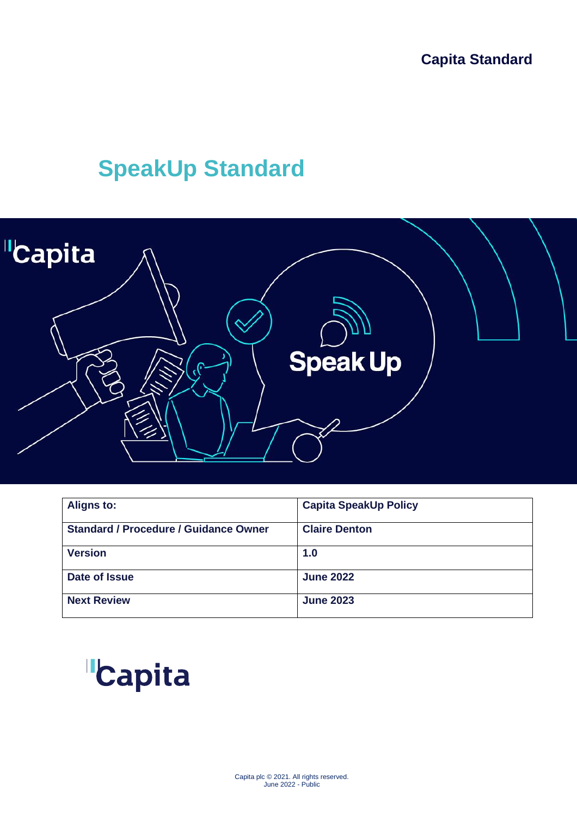# **SpeakUp Standard**



| <b>Aligns to:</b>                            | <b>Capita SpeakUp Policy</b> |
|----------------------------------------------|------------------------------|
| <b>Standard / Procedure / Guidance Owner</b> | <b>Claire Denton</b>         |
| <b>Version</b>                               | 1.0                          |
| Date of Issue                                | <b>June 2022</b>             |
| <b>Next Review</b>                           | <b>June 2023</b>             |

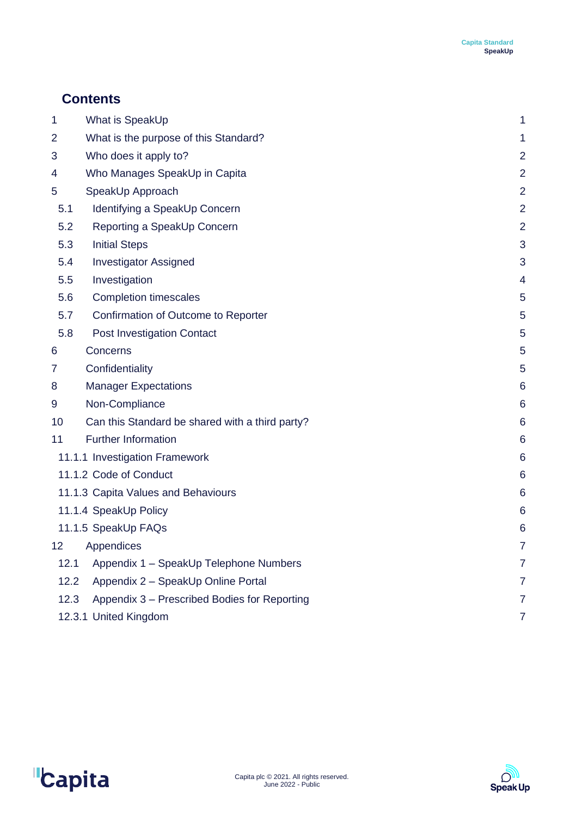# **Contents**

| 1    | What is SpeakUp                                 | 1              |
|------|-------------------------------------------------|----------------|
| 2    | What is the purpose of this Standard?           | 1              |
| 3    | Who does it apply to?                           | $\overline{2}$ |
| 4    | Who Manages SpeakUp in Capita                   | $\overline{2}$ |
| 5    | SpeakUp Approach                                | $\overline{2}$ |
| 5.1  | Identifying a SpeakUp Concern                   | $\overline{2}$ |
| 5.2  | Reporting a SpeakUp Concern                     | $\overline{2}$ |
| 5.3  | <b>Initial Steps</b>                            | 3              |
| 5.4  | <b>Investigator Assigned</b>                    | 3              |
| 5.5  | Investigation                                   | 4              |
| 5.6  | <b>Completion timescales</b>                    | 5              |
| 5.7  | Confirmation of Outcome to Reporter             | 5              |
| 5.8  | Post Investigation Contact                      | 5              |
| 6    | Concerns                                        | 5              |
| 7    | Confidentiality                                 | 5              |
| 8    | <b>Manager Expectations</b>                     | 6              |
| 9    | Non-Compliance                                  | 6              |
| 10   | Can this Standard be shared with a third party? | 6              |
| 11   | <b>Further Information</b>                      | 6              |
|      | 11.1.1 Investigation Framework                  | 6              |
|      | 11.1.2 Code of Conduct                          | 6              |
|      | 11.1.3 Capita Values and Behaviours             | 6              |
|      | 11.1.4 SpeakUp Policy                           | 6              |
|      | 11.1.5 SpeakUp FAQs                             | 6              |
|      | 12 Appendices                                   | 7              |
| 12.1 | Appendix 1 - SpeakUp Telephone Numbers          | $\overline{7}$ |
| 12.2 | Appendix 2 - SpeakUp Online Portal              | $\overline{7}$ |
| 12.3 | Appendix 3 - Prescribed Bodies for Reporting    | $\overline{7}$ |
|      | 12.3.1 United Kingdom                           | $\overline{7}$ |



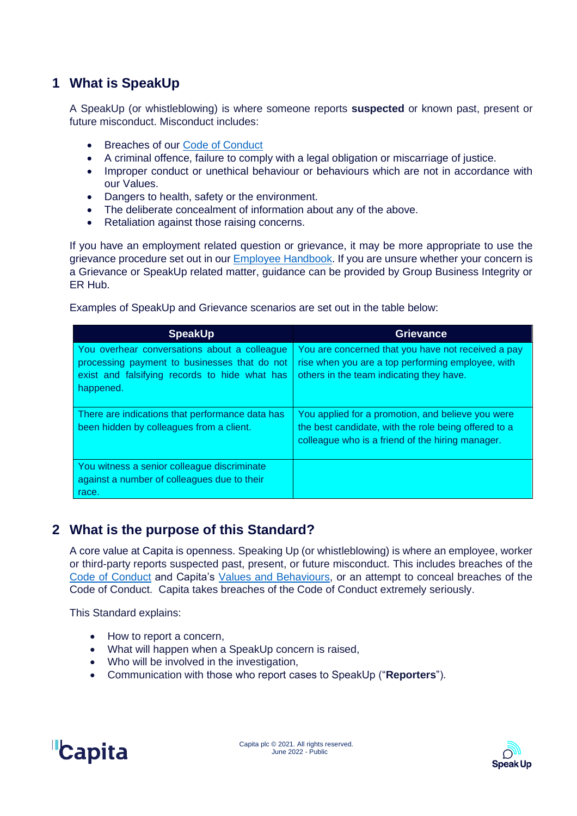# <span id="page-2-0"></span>**1 What is SpeakUp**

A SpeakUp (or whistleblowing) is where someone reports **suspected** or known past, present or future misconduct. Misconduct includes:

- Breaches of our [Code of Conduct](https://www.capita.com/sites/g/files/nginej291/files/2021-12/Code-of-Conduct-Capita_0.pdf)
- A criminal offence, failure to comply with a legal obligation or miscarriage of justice.
- Improper conduct or unethical behaviour or behaviours which are not in accordance with our Values.
- Dangers to health, safety or the environment.
- The deliberate concealment of information about any of the above.<br>• Retaliation against those raising concerns.
- Retaliation against those raising concerns.

If you have an employment related question or grievance, it may be more appropriate to use the grievance procedure set out in our [Employee Handbook.](https://capita.sharepoint.com/sites/ERHubDocumentStorage/Shared%20Documents/Forms/AllItems.aspx?id=%2Fsites%2FERHubDocumentStorage%2FShared%20Documents%2FEmployee%20Handbook%2Femployee%2Dhandbook%2Duk%20%281%29%2Epdf&parent=%2Fsites%2FERHubDocumentStorage%2FShared%20Documents%2FEmployee%20Handbook) If you are unsure whether your concern is a Grievance or SpeakUp related matter, guidance can be provided by Group Business Integrity or ER Hub.

Examples of SpeakUp and Grievance scenarios are set out in the table below:

| <b>SpeakUp</b>                                                                                                                                             | <b>Grievance</b>                                                                                                                                              |
|------------------------------------------------------------------------------------------------------------------------------------------------------------|---------------------------------------------------------------------------------------------------------------------------------------------------------------|
| You overhear conversations about a colleague<br>processing payment to businesses that do not<br>exist and falsifying records to hide what has<br>happened. | You are concerned that you have not received a pay<br>rise when you are a top performing employee, with<br>others in the team indicating they have.           |
| There are indications that performance data has<br>been hidden by colleagues from a client.                                                                | You applied for a promotion, and believe you were<br>the best candidate, with the role being offered to a<br>colleague who is a friend of the hiring manager. |
| You witness a senior colleague discriminate<br>against a number of colleagues due to their<br>race.                                                        |                                                                                                                                                               |

# <span id="page-2-1"></span>**2 What is the purpose of this Standard?**

A core value at Capita is openness. Speaking Up (or whistleblowing) is where an employee, worker or third-party reports suspected past, present, or future misconduct. This includes breaches of the [Code of Conduct](https://www.capita.com/sites/g/files/nginej291/files/2021-12/Code-of-Conduct-Capita_0.pdf) and Capita's [Values and Behaviours,](http://capitaconnections.capita.zone/about-capita/how-we-work/values-and-behaviours) or an attempt to conceal breaches of the Code of Conduct. Capita takes breaches of the Code of Conduct extremely seriously.

This Standard explains:

- How to report a concern.
- What will happen when a SpeakUp concern is raised,
- Who will be involved in the investigation,
- Communication with those who report cases to SpeakUp ("**Reporters**").



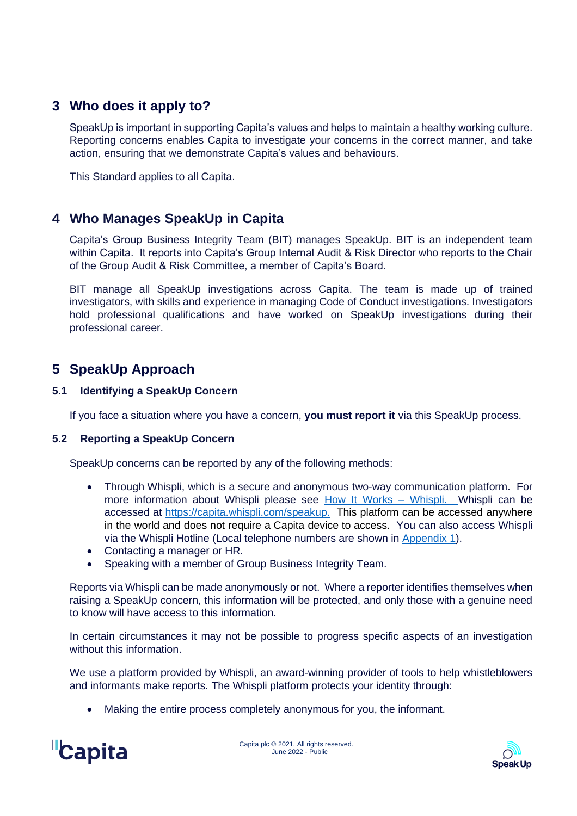# <span id="page-3-0"></span>**3 Who does it apply to?**

SpeakUp is important in supporting Capita's values and helps to maintain a healthy working culture. Reporting concerns enables Capita to investigate your concerns in the correct manner, and take action, ensuring that we demonstrate Capita's values and behaviours.

This Standard applies to all Capita.

# <span id="page-3-1"></span>**4 Who Manages SpeakUp in Capita**

Capita's Group Business Integrity Team (BIT) manages SpeakUp. BIT is an independent team within Capita. It reports into Capita's Group Internal Audit & Risk Director who reports to the Chair of the Group Audit & Risk Committee, a member of Capita's Board.

BIT manage all SpeakUp investigations across Capita. The team is made up of trained investigators, with skills and experience in managing Code of Conduct investigations. Investigators hold professional qualifications and have worked on SpeakUp investigations during their professional career.

# <span id="page-3-2"></span>**5 SpeakUp Approach**

#### <span id="page-3-3"></span>**5.1 Identifying a SpeakUp Concern**

If you face a situation where you have a concern, **you must report it** via this SpeakUp process.

#### <span id="page-3-4"></span>**5.2 Reporting a SpeakUp Concern**

SpeakUp concerns can be reported by any of the following methods:

- Through Whispli, which is a secure and anonymous two-way communication platform. For more information about Whispli please see [How It Works –](https://www.whispli.com/how-it-works/) Whispli. Whispli can be accessed at [https://capita.whispli.com/speakup.](https://capita.whispli.com/speakup) This platform can be accessed anywhere in the world and does not require a Capita device to access. You can also access Whispli via the Whispli Hotline (Local telephone numbers are shown in [Appendix 1\)](#page-8-1).
- Contacting a manager or HR.
- Speaking with a member of Group Business Integrity Team.

Reports via Whispli can be made anonymously or not. Where a reporter identifies themselves when raising a SpeakUp concern, this information will be protected, and only those with a genuine need to know will have access to this information.

In certain circumstances it may not be possible to progress specific aspects of an investigation without this information.

We use a platform provided by Whispli, an award-winning provider of tools to help whistleblowers and informants make reports. The Whispli platform protects your identity through:

• Making the entire process completely anonymous for you, the informant.



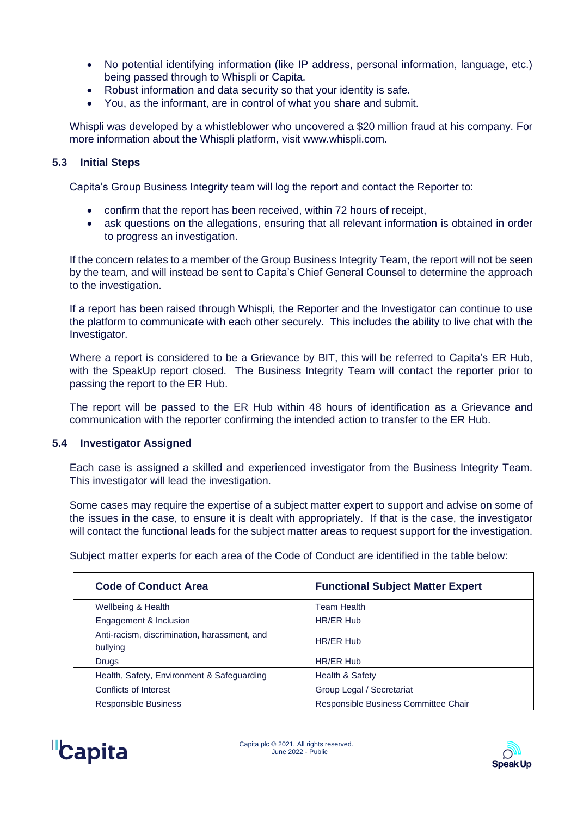- No potential identifying information (like IP address, personal information, language, etc.) being passed through to Whispli or Capita.
- Robust information and data security so that your identity is safe.
- You, as the informant, are in control of what you share and submit.

Whispli was developed by a whistleblower who uncovered a \$20 million fraud at his company. For more information about the Whispli platform, visit www.whispli.com.

#### <span id="page-4-0"></span>**5.3 Initial Steps**

Capita's Group Business Integrity team will log the report and contact the Reporter to:

- confirm that the report has been received, within 72 hours of receipt,
- ask questions on the allegations, ensuring that all relevant information is obtained in order to progress an investigation.

If the concern relates to a member of the Group Business Integrity Team, the report will not be seen by the team, and will instead be sent to Capita's Chief General Counsel to determine the approach to the investigation.

If a report has been raised through Whispli, the Reporter and the Investigator can continue to use the platform to communicate with each other securely. This includes the ability to live chat with the Investigator.

Where a report is considered to be a Grievance by BIT, this will be referred to Capita's ER Hub, with the SpeakUp report closed. The Business Integrity Team will contact the reporter prior to passing the report to the ER Hub.

The report will be passed to the ER Hub within 48 hours of identification as a Grievance and communication with the reporter confirming the intended action to transfer to the ER Hub.

#### <span id="page-4-1"></span>**5.4 Investigator Assigned**

Each case is assigned a skilled and experienced investigator from the Business Integrity Team. This investigator will lead the investigation.

Some cases may require the expertise of a subject matter expert to support and advise on some of the issues in the case, to ensure it is dealt with appropriately. If that is the case, the investigator will contact the functional leads for the subject matter areas to request support for the investigation.

Subject matter experts for each area of the Code of Conduct are identified in the table below:

| <b>Code of Conduct Area</b>                              | <b>Functional Subject Matter Expert</b> |
|----------------------------------------------------------|-----------------------------------------|
| Wellbeing & Health                                       | <b>Team Health</b>                      |
| Engagement & Inclusion                                   | HR/ER Hub                               |
| Anti-racism, discrimination, harassment, and<br>bullying | <b>HR/ER Hub</b>                        |
| <b>Drugs</b>                                             | HR/ER Hub                               |
| Health, Safety, Environment & Safeguarding               | Health & Safety                         |
| <b>Conflicts of Interest</b>                             | Group Legal / Secretariat               |
| <b>Responsible Business</b>                              | Responsible Business Committee Chair    |



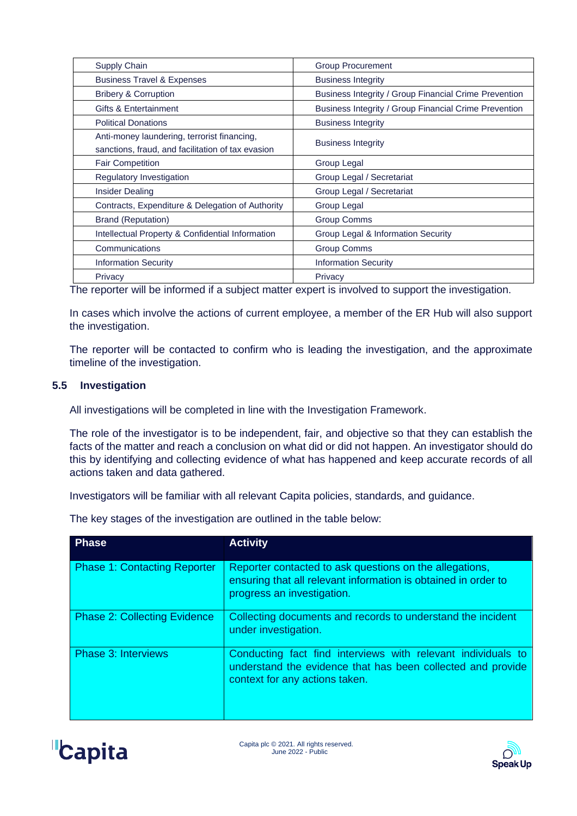| Supply Chain                                      | <b>Group Procurement</b>                              |
|---------------------------------------------------|-------------------------------------------------------|
| <b>Business Travel &amp; Expenses</b>             | <b>Business Integrity</b>                             |
| <b>Bribery &amp; Corruption</b>                   | Business Integrity / Group Financial Crime Prevention |
| Gifts & Entertainment                             | Business Integrity / Group Financial Crime Prevention |
| <b>Political Donations</b>                        | <b>Business Integrity</b>                             |
| Anti-money laundering, terrorist financing,       | <b>Business Integrity</b>                             |
| sanctions, fraud, and facilitation of tax evasion |                                                       |
| <b>Fair Competition</b>                           | Group Legal                                           |
| Regulatory Investigation                          | Group Legal / Secretariat                             |
| <b>Insider Dealing</b>                            | Group Legal / Secretariat                             |
| Contracts, Expenditure & Delegation of Authority  | Group Legal                                           |
| <b>Brand (Reputation)</b>                         | <b>Group Comms</b>                                    |
| Intellectual Property & Confidential Information  | Group Legal & Information Security                    |
| Communications                                    | <b>Group Comms</b>                                    |
| <b>Information Security</b>                       | <b>Information Security</b>                           |
| Privacy                                           | Privacy                                               |

The reporter will be informed if a subject matter expert is involved to support the investigation.

In cases which involve the actions of current employee, a member of the ER Hub will also support the investigation.

The reporter will be contacted to confirm who is leading the investigation, and the approximate timeline of the investigation.

#### <span id="page-5-0"></span>**5.5 Investigation**

All investigations will be completed in line with the Investigation Framework.

The role of the investigator is to be independent, fair, and objective so that they can establish the facts of the matter and reach a conclusion on what did or did not happen. An investigator should do this by identifying and collecting evidence of what has happened and keep accurate records of all actions taken and data gathered.

Investigators will be familiar with all relevant Capita policies, standards, and guidance.

The key stages of the investigation are outlined in the table below:

| <b>Phase</b>                        | <b>Activity</b>                                                                                                                                               |
|-------------------------------------|---------------------------------------------------------------------------------------------------------------------------------------------------------------|
| <b>Phase 1: Contacting Reporter</b> | Reporter contacted to ask questions on the allegations,<br>ensuring that all relevant information is obtained in order to<br>progress an investigation.       |
| <b>Phase 2: Collecting Evidence</b> | Collecting documents and records to understand the incident<br>under investigation.                                                                           |
| <b>Phase 3: Interviews</b>          | Conducting fact find interviews with relevant individuals to<br>understand the evidence that has been collected and provide<br>context for any actions taken. |



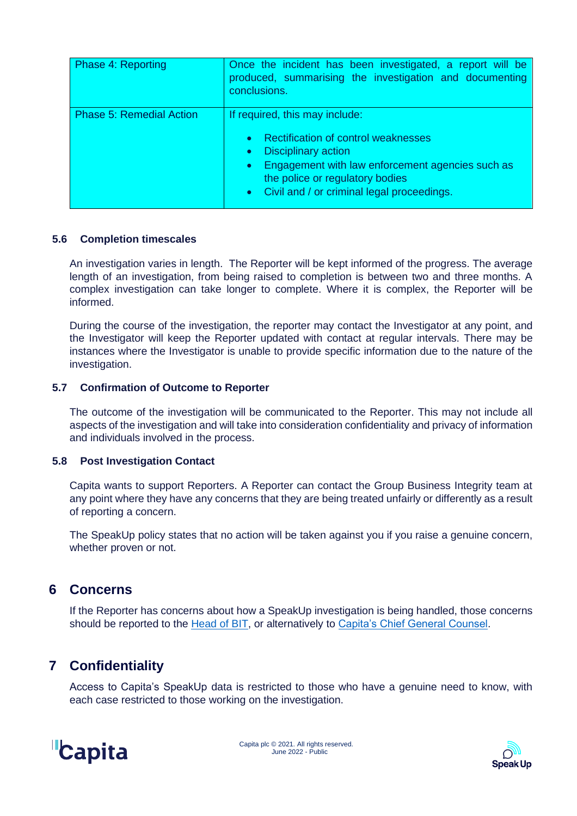| Phase 4: Reporting              | Once the incident has been investigated, a report will be<br>produced, summarising the investigation and documenting<br>conclusions.                                                                                                                                              |
|---------------------------------|-----------------------------------------------------------------------------------------------------------------------------------------------------------------------------------------------------------------------------------------------------------------------------------|
| <b>Phase 5: Remedial Action</b> | If required, this may include:<br>Rectification of control weaknesses<br>$\bullet$<br><b>Disciplinary action</b><br>$\bullet$<br>Engagement with law enforcement agencies such as<br>$\bullet$<br>the police or regulatory bodies<br>• Civil and / or criminal legal proceedings. |

#### <span id="page-6-0"></span>**5.6 Completion timescales**

An investigation varies in length. The Reporter will be kept informed of the progress. The average length of an investigation, from being raised to completion is between two and three months. A complex investigation can take longer to complete. Where it is complex, the Reporter will be informed.

During the course of the investigation, the reporter may contact the Investigator at any point, and the Investigator will keep the Reporter updated with contact at regular intervals. There may be instances where the Investigator is unable to provide specific information due to the nature of the investigation.

#### <span id="page-6-1"></span>**5.7 Confirmation of Outcome to Reporter**

The outcome of the investigation will be communicated to the Reporter. This may not include all aspects of the investigation and will take into consideration confidentiality and privacy of information and individuals involved in the process.

#### <span id="page-6-2"></span>**5.8 Post Investigation Contact**

Capita wants to support Reporters. A Reporter can contact the Group Business Integrity team at any point where they have any concerns that they are being treated unfairly or differently as a result of reporting a concern.

The SpeakUp policy states that no action will be taken against you if you raise a genuine concern, whether proven or not.

## <span id="page-6-3"></span>**6 Concerns**

If the Reporter has concerns about how a SpeakUp investigation is being handled, those concerns should be reported to the [Head of BIT,](mailto:philip.dixon2@capita.com) or alternatively to [Capita's Chief General Counsel.](mailto:claire.denton@capita.com)

# <span id="page-6-4"></span>**7 Confidentiality**

Access to Capita's SpeakUp data is restricted to those who have a genuine need to know, with each case restricted to those working on the investigation.



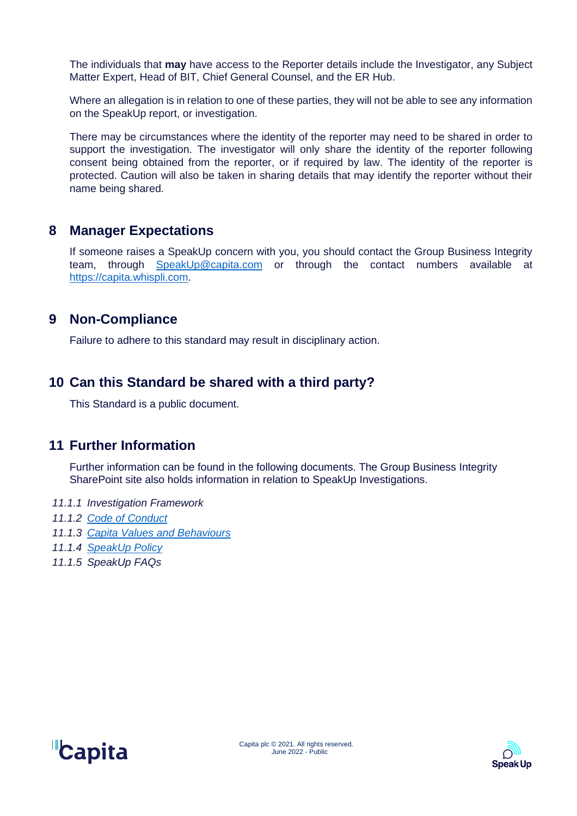The individuals that **may** have access to the Reporter details include the Investigator, any Subject Matter Expert, Head of BIT, Chief General Counsel, and the ER Hub.

Where an allegation is in relation to one of these parties, they will not be able to see any information on the SpeakUp report, or investigation.

There may be circumstances where the identity of the reporter may need to be shared in order to support the investigation. The investigator will only share the identity of the reporter following consent being obtained from the reporter, or if required by law. The identity of the reporter is protected. Caution will also be taken in sharing details that may identify the reporter without their name being shared.

## <span id="page-7-0"></span>**8 Manager Expectations**

If someone raises a SpeakUp concern with you, you should contact the Group Business Integrity team, through [SpeakUp@capita.com](mailto:SpeakUp@capita.com) or through the contact numbers available at [https://capita.whispli.com.](https://capita.whispli.com/)

## <span id="page-7-1"></span>**9 Non-Compliance**

Failure to adhere to this standard may result in disciplinary action.

# <span id="page-7-2"></span>**10 Can this Standard be shared with a third party?**

This Standard is a public document.

## <span id="page-7-3"></span>**11 Further Information**

Further information can be found in the following documents. The Group Business Integrity SharePoint site also holds information in relation to SpeakUp Investigations.

- <span id="page-7-4"></span>*11.1.1 Investigation Framework*
- <span id="page-7-5"></span>*11.1.2 [Code of Conduct](https://www.capita.com/sites/g/files/nginej291/files/2021-12/Code-of-Conduct-Capita_0.pdf)*
- <span id="page-7-6"></span>*11.1.3 [Capita Values and Behaviours](http://capitaconnections.capita.zone/about-capita/how-we-work/values-and-behaviours)*
- <span id="page-7-7"></span>*11.1.4 [SpeakUp Policy](https://www.capita.com/sites/g/files/nginej291/files/2021-10/Speak-Up-Policy-Policy-Global.pdf)*
- <span id="page-7-8"></span>*11.1.5 SpeakUp FAQs*



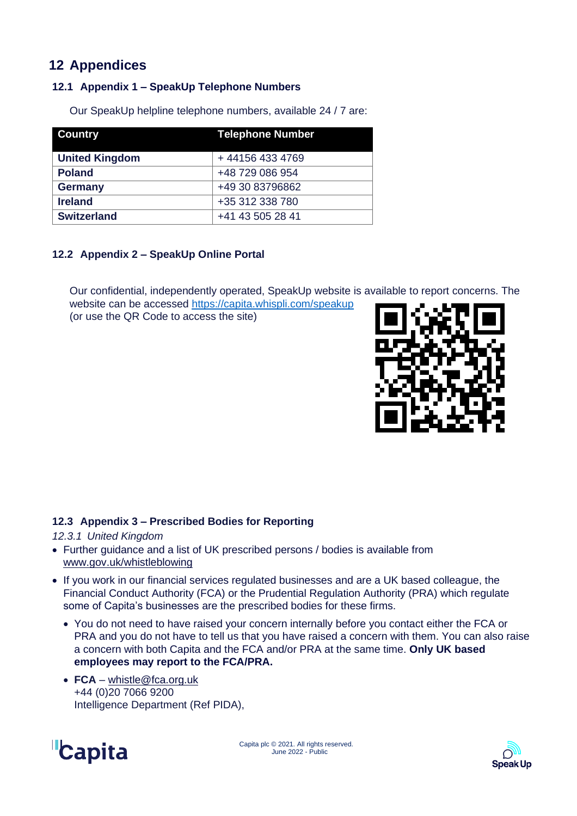# <span id="page-8-0"></span>**12 Appendices**

### <span id="page-8-1"></span>**12.1 Appendix 1 – SpeakUp Telephone Numbers**

Our SpeakUp helpline telephone numbers, available 24 / 7 are:

| <b>Country</b>        | <b>Telephone Number</b> |
|-----------------------|-------------------------|
|                       |                         |
| <b>United Kingdom</b> | +441564334769           |
| <b>Poland</b>         | +48 729 086 954         |
| <b>Germany</b>        | +49 30 83796862         |
| <b>Ireland</b>        | +35 312 338 780         |
| <b>Switzerland</b>    | +41 43 505 28 41        |

#### <span id="page-8-2"></span>**12.2 Appendix 2 – SpeakUp Online Portal**

Our confidential, independently operated, SpeakUp website is available to report concerns. The

website can be accessed<https://capita.whispli.com/speakup> (or use the QR Code to access the site)



#### <span id="page-8-3"></span>**12.3 Appendix 3 – Prescribed Bodies for Reporting**

<span id="page-8-4"></span>*12.3.1 United Kingdom*

- Further guidance and a list of UK prescribed persons / bodies is available from [www.gov.uk/whistleblowing](https://www.gov.uk/whistleblowing/who-to-tell-what-to-expect)
- If you work in our financial services regulated businesses and are a UK based colleague, the Financial Conduct Authority (FCA) or the Prudential Regulation Authority (PRA) which regulate some of Capita's businesses are the prescribed bodies for these firms.
	- You do not need to have raised your concern internally before you contact either the FCA or PRA and you do not have to tell us that you have raised a concern with them. You can also raise a concern with both Capita and the FCA and/or PRA at the same time. **Only UK based employees may report to the FCA/PRA.**
	- **FCA** [whistle@fca.org.uk](mailto:whistle@fca.org.uk) +44 (0)20 7066 9200 Intelligence Department (Ref PIDA),



Letter and the Capita plc © 2021. All rights reserved. June 2022 - Public

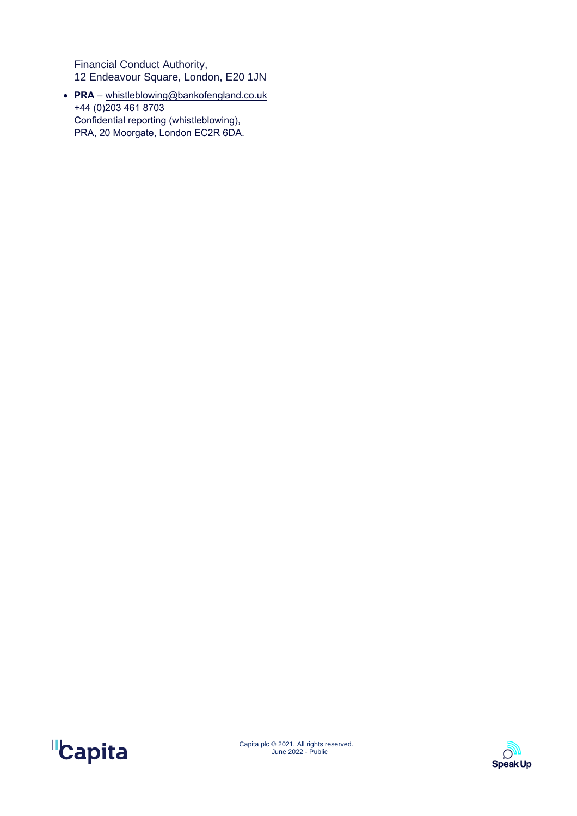Financial Conduct Authority, 12 Endeavour Square, London, E20 1JN

• **PRA** – [whistleblowing@bankofengland.co.uk](mailto:whistleblowing@bankofengland.co.uk) +44 (0)203 461 8703 Confidential reporting (whistleblowing), PRA, 20 Moorgate, London EC2R 6DA.